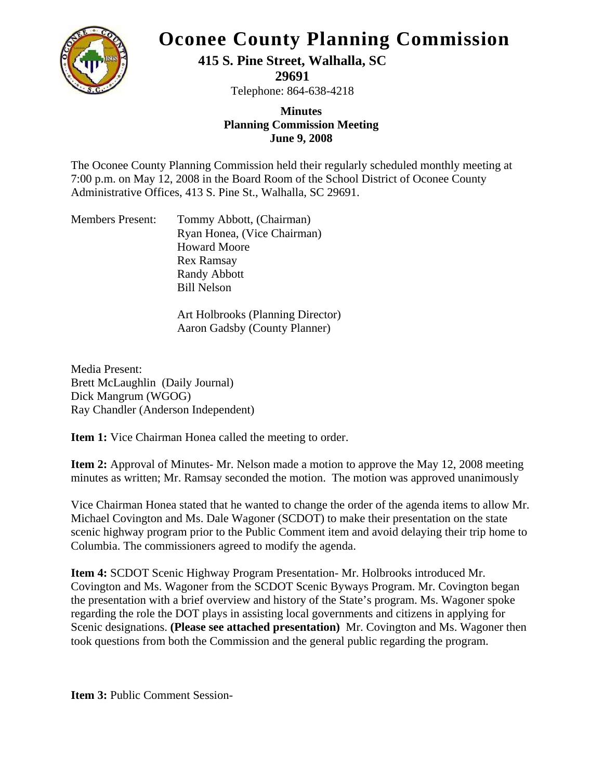

#### **Oconee County Planning Commission**

**415 S. Pine Street, Walhalla, SC** 

**29691** 

Telephone: 864-638-4218

#### **Minutes Planning Commission Meeting June 9, 2008**

The Oconee County Planning Commission held their regularly scheduled monthly meeting at 7:00 p.m. on May 12, 2008 in the Board Room of the School District of Oconee County Administrative Offices, 413 S. Pine St., Walhalla, SC 29691.

| <b>Members Present:</b> | Tommy Abbott, (Chairman)    |
|-------------------------|-----------------------------|
|                         | Ryan Honea, (Vice Chairman) |
|                         | <b>Howard Moore</b>         |
|                         | Rex Ramsay                  |
|                         | <b>Randy Abbott</b>         |
|                         | <b>Bill Nelson</b>          |

Art Holbrooks (Planning Director) Aaron Gadsby (County Planner)

Media Present: Brett McLaughlin (Daily Journal) Dick Mangrum (WGOG) Ray Chandler (Anderson Independent)

**Item 1:** Vice Chairman Honea called the meeting to order.

**Item 2:** Approval of Minutes- Mr. Nelson made a motion to approve the May 12, 2008 meeting minutes as written; Mr. Ramsay seconded the motion. The motion was approved unanimously

Vice Chairman Honea stated that he wanted to change the order of the agenda items to allow Mr. Michael Covington and Ms. Dale Wagoner (SCDOT) to make their presentation on the state scenic highway program prior to the Public Comment item and avoid delaying their trip home to Columbia. The commissioners agreed to modify the agenda.

**Item 4:** SCDOT Scenic Highway Program Presentation- Mr. Holbrooks introduced Mr. Covington and Ms. Wagoner from the SCDOT Scenic Byways Program. Mr. Covington began the presentation with a brief overview and history of the State's program. Ms. Wagoner spoke regarding the role the DOT plays in assisting local governments and citizens in applying for Scenic designations. **(Please see attached presentation)** Mr. Covington and Ms. Wagoner then took questions from both the Commission and the general public regarding the program.

**Item 3: Public Comment Session-**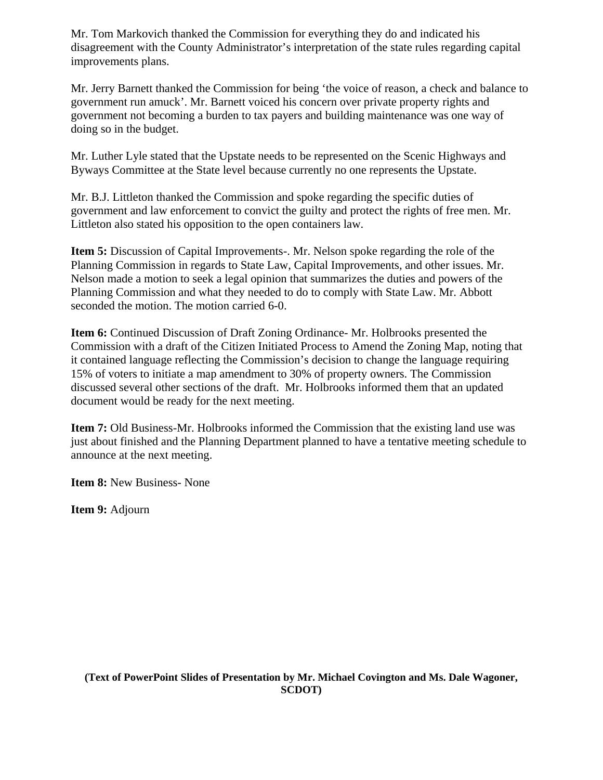Mr. Tom Markovich thanked the Commission for everything they do and indicated his disagreement with the County Administrator's interpretation of the state rules regarding capital improvements plans.

Mr. Jerry Barnett thanked the Commission for being 'the voice of reason, a check and balance to government run amuck'. Mr. Barnett voiced his concern over private property rights and government not becoming a burden to tax payers and building maintenance was one way of doing so in the budget.

Mr. Luther Lyle stated that the Upstate needs to be represented on the Scenic Highways and Byways Committee at the State level because currently no one represents the Upstate.

Mr. B.J. Littleton thanked the Commission and spoke regarding the specific duties of government and law enforcement to convict the guilty and protect the rights of free men. Mr. Littleton also stated his opposition to the open containers law.

**Item 5:** Discussion of Capital Improvements-. Mr. Nelson spoke regarding the role of the Planning Commission in regards to State Law, Capital Improvements, and other issues. Mr. Nelson made a motion to seek a legal opinion that summarizes the duties and powers of the Planning Commission and what they needed to do to comply with State Law. Mr. Abbott seconded the motion. The motion carried 6-0.

**Item 6:** Continued Discussion of Draft Zoning Ordinance- Mr. Holbrooks presented the Commission with a draft of the Citizen Initiated Process to Amend the Zoning Map, noting that it contained language reflecting the Commission's decision to change the language requiring 15% of voters to initiate a map amendment to 30% of property owners. The Commission discussed several other sections of the draft. Mr. Holbrooks informed them that an updated document would be ready for the next meeting.

**Item 7:** Old Business-Mr. Holbrooks informed the Commission that the existing land use was just about finished and the Planning Department planned to have a tentative meeting schedule to announce at the next meeting.

**Item 8:** New Business- None

**Item 9:** Adjourn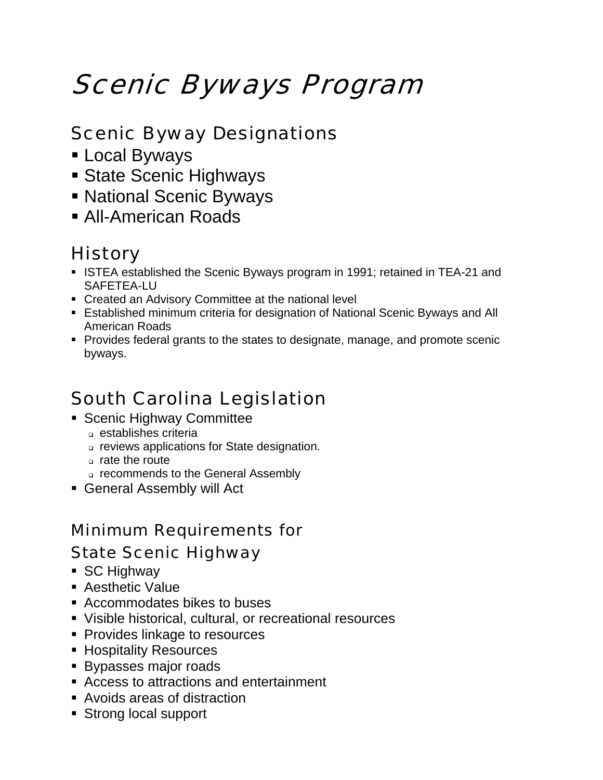# Scenic Byways Program

### Scenic Byway Designations

- **Local Byways**
- **State Scenic Highways**
- **National Scenic Byways**
- All-American Roads

## **History**

- **ISTEA established the Scenic Byways program in 1991; retained in TEA-21 and** SAFETEA-LU
- Created an Advisory Committee at the national level
- Established minimum criteria for designation of National Scenic Byways and All American Roads
- Provides federal grants to the states to designate, manage, and promote scenic byways.

### South Carolina Legislation

- **Scenic Highway Committee** 
	- establishes criteria
	- reviews applications for State designation.
	- rate the route
	- recommends to the General Assembly
- General Assembly will Act

#### Minimum Requirements for State Scenic Highway

- SC Highway
- **Aesthetic Value**
- Accommodates bikes to buses
- Visible historical, cultural, or recreational resources
- **Provides linkage to resources**
- **Hospitality Resources**
- **Bypasses major roads**
- Access to attractions and entertainment
- Avoids areas of distraction
- Strong local support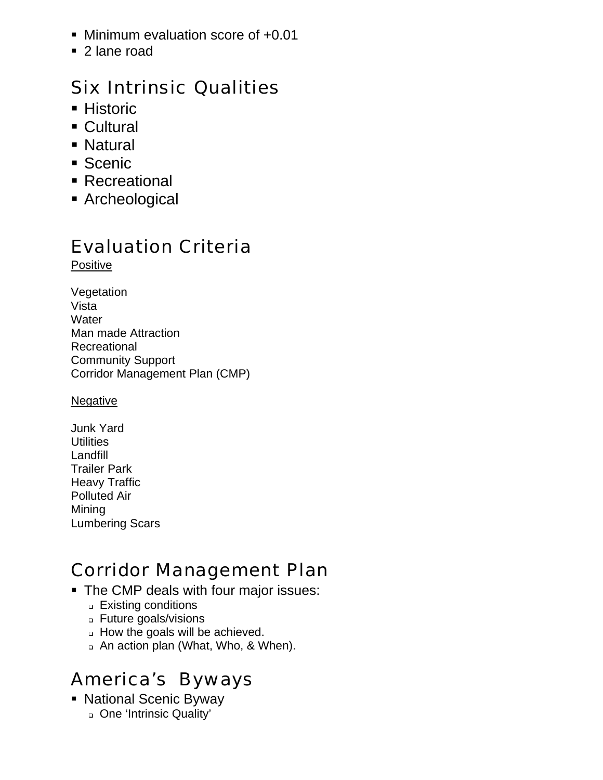- **Minimum evaluation score of +0.01**
- 2 lane road

#### Six Intrinsic Qualities

- **Historic**
- Cultural
- **Natural**
- **Scenic**
- Recreational
- Archeological

#### Evaluation Criteria

Positive

Vegetation Vista **Water** Man made Attraction Recreational Community Support Corridor Management Plan (CMP)

#### **Negative**

Junk Yard **Utilities** Landfill Trailer Park Heavy Traffic Polluted Air **Mining** Lumbering Scars

### Corridor Management Plan

- The CMP deals with four major issues:
	- **Existing conditions**
	- Future goals/visions
	- How the goals will be achieved.
	- An action plan (What, Who, & When).

# America's Byways

- National Scenic Byway
	- One 'Intrinsic Quality'